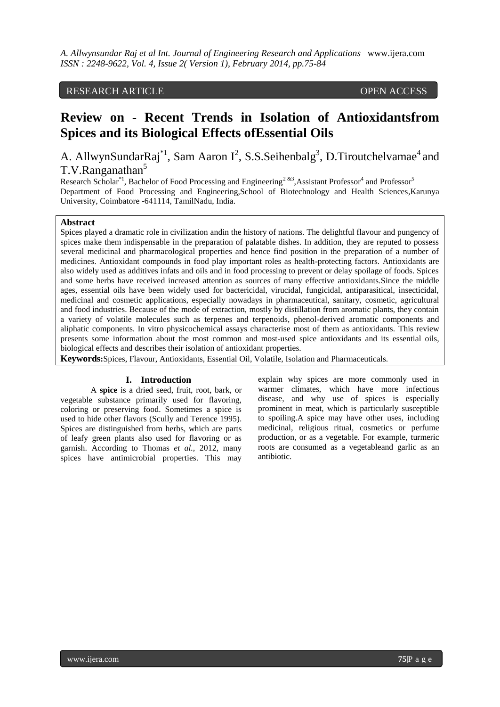# RESEARCH ARTICLE OPEN ACCESS

# **Review on - Recent Trends in Isolation of Antioxidantsfrom Spices and its Biological Effects ofEssential Oils**

A. AllwynSundarRaj<sup>\*1</sup>, Sam Aaron  $I^2$ , S.S. Seihenbalg<sup>3</sup>, D. Tiroutchelvamae<sup>4</sup> and T.V.Ranganathan<sup>5</sup>

Research Scholar<sup>\*1</sup>, Bachelor of Food Processing and Engineering<sup>2&3</sup>, Assistant Professor<sup>4</sup> and Professor<sup>5</sup> Department of Food Processing and Engineering,School of Biotechnology and Health Sciences,Karunya University, Coimbatore -641114, TamilNadu, India.

### **Abstract**

Spices played a dramatic role in civilization andin the history of nations. The delightful flavour and pungency of spices make them indispensable in the preparation of palatable dishes. In addition, they are reputed to possess several medicinal and pharmacological properties and hence find position in the preparation of a number of medicines. Antioxidant compounds in food play important roles as health-protecting factors. Antioxidants are also widely used as additives infats and oils and in food processing to prevent or delay spoilage of foods. Spices and some herbs have received increased attention as sources of many effective antioxidants.Since the middle ages, essential oils have been widely used for bactericidal, virucidal, fungicidal, antiparasitical, insecticidal, medicinal and cosmetic applications, especially nowadays in pharmaceutical, sanitary, cosmetic, agricultural and food industries. Because of the mode of extraction, mostly by distillation from aromatic plants, they contain a variety of volatile molecules such as terpenes and terpenoids, phenol-derived aromatic components and aliphatic components. In vitro physicochemical assays characterise most of them as antioxidants. This review presents some information about the most common and most-used spice antioxidants and its essential oils, biological effects and describes their isolation of antioxidant properties.

**Keywords:**Spices, Flavour, Antioxidants, Essential Oil, Volatile, Isolation and Pharmaceuticals.

#### **I. Introduction**

A **spice** is a dried [seed,](http://en.wikipedia.org/wiki/Seed) [fruit,](http://en.wikipedia.org/wiki/Fruit) [root,](http://en.wikipedia.org/wiki/Root) [bark,](http://en.wikipedia.org/wiki/Bark) or [vegetable](http://en.wikipedia.org/wiki/Vegetable) substance primarily used for [flavoring,](http://en.wikipedia.org/wiki/Flavor) [coloring](http://en.wikipedia.org/wiki/Color) or [preserving](http://en.wikipedia.org/wiki/Preservative) food. Sometimes a spice is used to hide other flavors (Scully and Terence 1995). Spices are distinguished from [herbs,](http://en.wikipedia.org/wiki/Herb) which are parts of [leafy](http://en.wikipedia.org/wiki/Leaf) green plants also used for [flavoring](http://en.wikipedia.org/wiki/Flavor) or as [garnish.](http://en.wikipedia.org/wiki/Garnish_%28food%29) According to Thomas *et al.,* 2012, many spices have [antimicrobial](http://en.wikipedia.org/wiki/Antimicrobial) properties. This may explain why spices are more commonly used in warmer climates, which have more [infectious](http://en.wikipedia.org/wiki/Infectious_disease)  [disease,](http://en.wikipedia.org/wiki/Infectious_disease) and why use of spices is especially prominent in meat, which is particularly susceptible to spoiling.A spice may have other uses, including [medicinal,](http://en.wikipedia.org/wiki/Medicinal) [religious ritual,](http://en.wikipedia.org/wiki/Sacred_rite) [cosmetics](http://en.wikipedia.org/wiki/Cosmetics) or [perfume](http://en.wikipedia.org/wiki/Perfume) production, or as a vegetable. For example, [turmeric](http://en.wikipedia.org/wiki/Turmeric) roots are consumed as a vegetableand [garlic](http://en.wikipedia.org/wiki/Garlic) as an [antibiotic.](http://en.wikipedia.org/wiki/Antibiotic)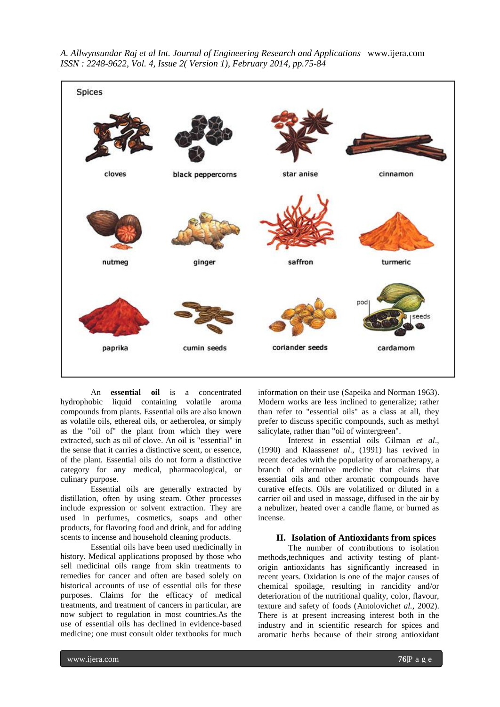

An **essential oil** is a concentrated [hydrophobic](http://en.wikipedia.org/wiki/Hydrophobic) liquid containing volatile [aroma](http://en.wikipedia.org/wiki/Aroma_compound)  [compounds](http://en.wikipedia.org/wiki/Aroma_compound) from plants. Essential oils are also known as volatile oils, ethereal oils, or aetherolea, or simply as the "oil of" the plant from which they were extracted, such as [oil of clove.](http://en.wikipedia.org/wiki/Oil_of_clove) An [oil](http://en.wikipedia.org/wiki/Oil) is "essential" in the sense that it carries a distinctive scent, or essence, of the plant. Essential oils do not form a distinctive category for any medical, pharmacological, or culinary purpose.

Essential oils are generally extracted by [distillation,](http://en.wikipedia.org/wiki/Distillation) often [by using steam.](http://en.wikipedia.org/wiki/Steam_distillation) Other processes include [expression](http://en.wikipedia.org/wiki/Ram_press_%28food%29) or [solvent extraction.](http://en.wikipedia.org/wiki/Liquid-liquid_extraction) They are used in [perfumes,](http://en.wikipedia.org/wiki/Perfumes) [cosmetics,](http://en.wikipedia.org/wiki/Cosmetics) [soaps](http://en.wikipedia.org/wiki/Soap) and other products, for [flavoring](http://en.wikipedia.org/wiki/Flavoring) food and drink, and for adding scents to [incense](http://en.wikipedia.org/wiki/Incense) and household cleaning products.

Essential oils have been used medicinally in history. Medical applications proposed by those who sell medicinal oils range from skin treatments to remedies for cancer and often are based solely on historical accounts of use of essential oils for these purposes. Claims for the efficacy of medical treatments, and treatment of cancers in particular, are now subject to regulation in most countries.As the use of essential oils has declined in evidence-based medicine; one must consult older textbooks for much

information on their use (Sapeika and Norman 1963). Modern works are less inclined to generalize; rather than refer to "essential oils" as a class at all, they prefer to discuss specific compounds, such as [methyl](http://en.wikipedia.org/wiki/Methyl_salicylate)  [salicylate,](http://en.wikipedia.org/wiki/Methyl_salicylate) rather than "oil of wintergreen".

Interest in essential oils Gilman *et al*., (1990) and Klaassen*et al*., (1991) has revived in recent decades with the popularity of [aromatherapy,](http://en.wikipedia.org/wiki/Aromatherapy) a branch of [alternative medicine](http://en.wikipedia.org/wiki/Alternative_medicine) that claims that essential oils and other aromatic compounds have curative effects. Oils are volatilized or diluted in a [carrier oil](http://en.wikipedia.org/wiki/Carrier_oil) and used in massage, diffused in the air by a [nebulizer,](http://en.wikipedia.org/wiki/Nebulizer) heated over a candle flame, or burned as incense.

#### **II. Isolation of Antioxidants from spices**

The number of contributions to isolation methods,techniques and activity testing of plantorigin antioxidants has significantly increased in recent years. Oxidation is one of the major causes of chemical spoilage, resulting in rancidity and/or deterioration of the nutritional quality, color, flavour, texture and safety of foods (Antolovich*et al.,* 2002). There is at present increasing interest both in the industry and in scientific research for spices and aromatic herbs because of their strong antioxidant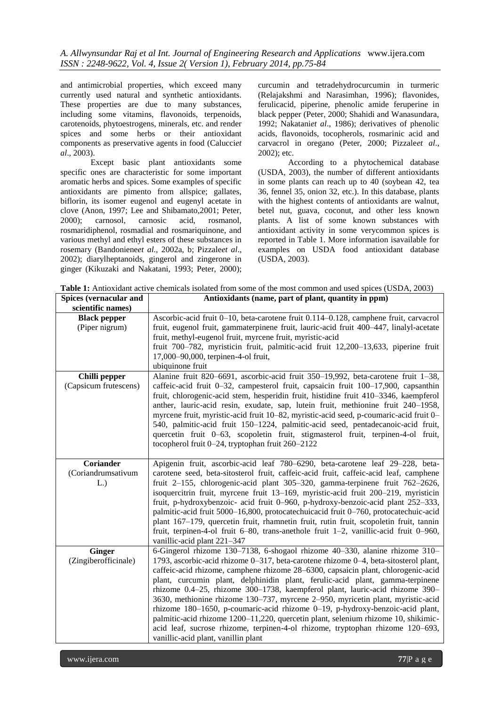and antimicrobial properties, which exceed many currently used natural and synthetic antioxidants. These properties are due to many substances, including some vitamins, flavonoids, terpenoids, carotenoids, phytoestrogens, minerals, etc. and render spices and some herbs or their antioxidant components as preservative agents in food (Calucci*et al*., 2003).

Except basic plant antioxidants some specific ones are characteristic for some important aromatic herbs and spices. Some examples of specific antioxidants are pimento from allspice; gallates, biflorin, its isomer eugenol and eugenyl acetate in clove (Anon, 1997; Lee and Shibamato,2001; Peter, 2000); carnosol, carnosic acid, rosmanol, rosmaridiphenol, rosmadial and rosmariquinone, and various methyl and ethyl esters of these substances in rosemary (Bandoniene*et al.,* 2002a, b; Pizzale*et al*., 2002); diarylheptanoids, gingerol and zingerone in ginger (Kikuzaki and Nakatani, 1993; Peter, 2000);

curcumin and tetradehydrocurcumin in turmeric (Relajakshmi and Narasimhan, 1996); flavonides, ferulicacid, piperine, phenolic amide feruperine in black pepper (Peter, 2000; Shahidi and Wanasundara, 1992; Nakatani*et al*., 1986); derivatives of phenolic acids, flavonoids, tocopherols, rosmarinic acid and carvacrol in oregano (Peter, 2000; Pizzale*et al*., 2002); etc.

According to a phytochemical database (USDA, 2003), the number of different antioxidants in some plants can reach up to 40 (soybean 42, tea 36, fennel 35, onion 32, etc.). In this database, plants with the highest contents of antioxidants are walnut, betel nut, guava, coconut, and other less known plants. A list of some known substances with antioxidant activity in some verycommon spices is reported in Table 1. More information isavailable for examples on USDA food antioxidant database (USDA, 2003).

| <b>Spices (vernacular and</b>          | Antioxidants (name, part of plant, quantity in ppm)                                                                                                                                                                                                                                                                                                                                                                                                                                                                                                                                                                                                                                                                                                                                                          |
|----------------------------------------|--------------------------------------------------------------------------------------------------------------------------------------------------------------------------------------------------------------------------------------------------------------------------------------------------------------------------------------------------------------------------------------------------------------------------------------------------------------------------------------------------------------------------------------------------------------------------------------------------------------------------------------------------------------------------------------------------------------------------------------------------------------------------------------------------------------|
| scientific names)                      |                                                                                                                                                                                                                                                                                                                                                                                                                                                                                                                                                                                                                                                                                                                                                                                                              |
| <b>Black pepper</b><br>(Piper nigrum)  | Ascorbic-acid fruit 0–10, beta-carotene fruit 0.114–0.128, camphene fruit, carvacrol<br>fruit, eugenol fruit, gammaterpinene fruit, lauric-acid fruit 400–447, linalyl-acetate<br>fruit, methyl-eugenol fruit, myrcene fruit, myristic-acid<br>fruit 700-782, myristicin fruit, palmitic-acid fruit 12,200-13,633, piperine fruit<br>17,000-90,000, terpinen-4-ol fruit,<br>ubiquinone fruit                                                                                                                                                                                                                                                                                                                                                                                                                 |
| Chilli pepper<br>(Capsicum frutescens) | Alanine fruit 820-6691, ascorbic-acid fruit 350-19,992, beta-carotene fruit 1-38,<br>caffeic-acid fruit 0-32, campesterol fruit, capsaicin fruit 100-17,900, capsanthin<br>fruit, chlorogenic-acid stem, hesperidin fruit, histidine fruit 410–3346, kaempferol<br>anther, lauric-acid resin, exudate, sap, lutein fruit, methionine fruit 240–1958,<br>myrcene fruit, myristic-acid fruit 10-82, myristic-acid seed, p-coumaric-acid fruit 0-<br>540, palmitic-acid fruit 150–1224, palmitic-acid seed, pentadecanoic-acid fruit,<br>quercetin fruit 0–63, scopoletin fruit, stigmasterol fruit, terpinen-4-ol fruit,<br>tocopherol fruit 0-24, tryptophan fruit 260-2122                                                                                                                                   |
| Coriander<br>(Coriandrumsativum<br>L.) | Apigenin fruit, ascorbic-acid leaf 780–6290, beta-carotene leaf 29–228, beta-<br>carotene seed, beta-sitosterol fruit, caffeic-acid fruit, caffeic-acid leaf, camphene<br>fruit 2–155, chlorogenic-acid plant 305–320, gamma-terpinene fruit 762–2626,<br>isoquercitrin fruit, myrcene fruit 13–169, myristic-acid fruit 200–219, myristicin<br>fruit, p-hydroxybenzoic- acid fruit 0-960, p-hydroxy-benzoic-acid plant 252-333,<br>palmitic-acid fruit 5000-16,800, protocatechuicacid fruit 0-760, protocatechuic-acid<br>plant 167–179, quercetin fruit, rhamnetin fruit, rutin fruit, scopoletin fruit, tannin<br>fruit, terpinen-4-ol fruit 6-80, trans-anethole fruit 1-2, vanillic-acid fruit 0-960,<br>vanillic-acid plant 221-347                                                                   |
| <b>Ginger</b><br>(Zingiberofficinale)  | 6-Gingerol rhizome 130-7138, 6-shogaol rhizome 40-330, alanine rhizome 310-<br>1793, ascorbic-acid rhizome 0-317, beta-carotene rhizome 0-4, beta-sitosterol plant,<br>caffeic-acid rhizome, camphene rhizome 28–6300, capsaicin plant, chlorogenic-acid<br>plant, curcumin plant, delphinidin plant, ferulic-acid plant, gamma-terpinene<br>rhizome 0.4–25, rhizome 300–1738, kaempferol plant, lauric-acid rhizome 390–<br>3630, methionine rhizome 130–737, myrcene 2–950, myricetin plant, myristic-acid<br>rhizome 180-1650, p-coumaric-acid rhizome 0-19, p-hydroxy-benzoic-acid plant,<br>palmitic-acid rhizome 1200–11,220, quercetin plant, selenium rhizome 10, shikimic-<br>acid leaf, sucrose rhizome, terpinen-4-ol rhizome, tryptophan rhizome 120–693,<br>vanillic-acid plant, vanillin plant |

**Table 1:** Antioxidant active chemicals isolated from some of the most common and used spices (USDA, 2003)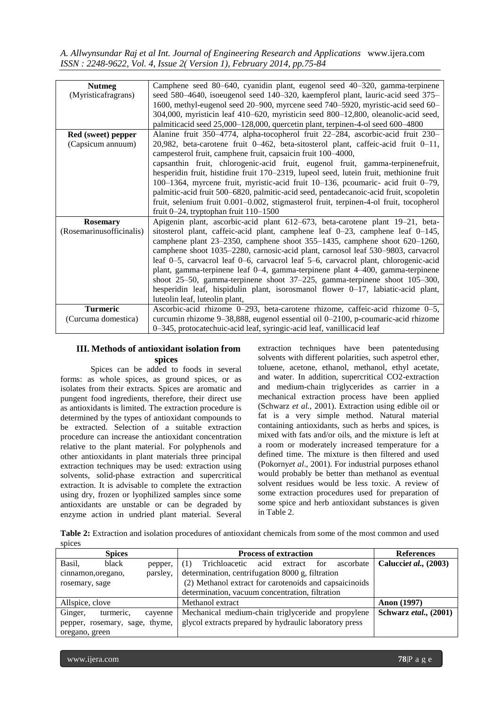| <b>Nutmeg</b>            | Camphene seed 80–640, cyanidin plant, eugenol seed 40–320, gamma-terpinene               |
|--------------------------|------------------------------------------------------------------------------------------|
| (Myristicafragrans)      | seed 580–4640, isoeugenol seed 140–320, kaempferol plant, lauric-acid seed 375–          |
|                          | 1600, methyl-eugenol seed 20–900, myrcene seed 740–5920, myristic-acid seed 60–          |
|                          | 304,000, myristicin leaf 410-620, myristicin seed 800-12,800, oleanolic-acid seed,       |
|                          | palmiticacid seed 25,000-128,000, quercetin plant, terpinen-4-ol seed 600-4800           |
| Red (sweet) pepper       | Alanine fruit 350–4774, alpha-tocopherol fruit 22–284, ascorbic-acid fruit 230–          |
| (Capsicum annuum)        | 20,982, beta-carotene fruit $0-462$ , beta-sitosterol plant, caffeic-acid fruit $0-11$ , |
|                          | campesterol fruit, camphene fruit, capsaicin fruit 100-4000,                             |
|                          | capsanthin fruit, chlorogenic-acid fruit, eugenol fruit, gamma-terpinenefruit,           |
|                          | hesperidin fruit, histidine fruit 170–2319, lupeol seed, lutein fruit, methionine fruit  |
|                          | 100–1364, myrcene fruit, myristic-acid fruit 10–136, pcoumaric- acid fruit 0–79,         |
|                          | palmitic-acid fruit 500–6820, palmitic-acid seed, pentadecanoic-acid fruit, scopoletin   |
|                          | fruit, selenium fruit 0.001–0.002, stigmasterol fruit, terpinen-4-ol fruit, tocopherol   |
|                          | fruit $0-24$ , tryptophan fruit $110-1500$                                               |
| <b>Rosemary</b>          | Apigenin plant, ascorbic-acid plant 612–673, beta-carotene plant 19–21, beta-            |
| (Rosemarinusofficinalis) | sitosterol plant, caffeic-acid plant, camphene leaf $0-23$ , camphene leaf $0-145$ ,     |
|                          | camphene plant $23-2350$ , camphene shoot $355-1435$ , camphene shoot $620-1260$ ,       |
|                          | camphene shoot 1035-2280, carnosic-acid plant, carnosol leaf 530-9803, carvacrol         |
|                          | leaf 0–5, carvacrol leaf 0–6, carvacrol leaf 5–6, carvacrol plant, chlorogenic-acid      |
|                          | plant, gamma-terpinene leaf 0-4, gamma-terpinene plant 4-400, gamma-terpinene            |
|                          | shoot $25-50$ , gamma-terpinene shoot $37-225$ , gamma-terpinene shoot $105-300$ ,       |
|                          | hesperidin leaf, hispidulin plant, isorosmanol flower $0-17$ , labiatic-acid plant,      |
|                          | luteolin leaf, luteolin plant,                                                           |
| <b>Turmeric</b>          | Ascorbic-acid rhizome 0-293, beta-carotene rhizome, caffeic-acid rhizome 0-5,            |
| (Curcuma domestica)      | curcumin rhizome 9–38,888, eugenol essential oil 0–2100, p-coumaric-acid rhizome         |
|                          | 0–345, protocatechuic-acid leaf, syringic-acid leaf, vanillicacid leaf                   |

#### **III. Methods of antioxidant isolation from spices**

Spices can be added to foods in several forms: as whole spices, as ground spices, or as isolates from their extracts. Spices are aromatic and pungent food ingredients, therefore, their direct use as antioxidants is limited. The extraction procedure is determined by the types of antioxidant compounds to be extracted. Selection of a suitable extraction procedure can increase the antioxidant concentration relative to the plant material. For polyphenols and other antioxidants in plant materials three principal extraction techniques may be used: extraction using solvents, solid-phase extraction and supercritical extraction. It is advisable to complete the extraction using dry, frozen or lyophilized samples since some antioxidants are unstable or can be degraded by enzyme action in undried plant material. Several

extraction techniques have been patentedusing solvents with different polarities, such aspetrol ether, toluene, acetone, ethanol, methanol, ethyl acetate, and water. In addition, supercritical CO2-extraction and medium-chain triglycerides as carrier in a mechanical extraction process have been applied (Schwarz *et al.,* 2001). Extraction using edible oil or fat is a very simple method. Natural material containing antioxidants, such as herbs and spices, is mixed with fats and/or oils, and the mixture is left at a room or moderately increased temperature for a defined time. The mixture is then filtered and used (Pokorny*et al*., 2001). For industrial purposes ethanol would probably be better than methanol as eventual solvent residues would be less toxic. A review of some extraction procedures used for preparation of some spice and herb antioxidant substances is given in Table 2.

**Table 2:** Extraction and isolation procedures of antioxidant chemicals from some of the most common and used spices

| <b>Spices</b>                   | <b>Process of extraction</b>                             | <b>References</b>     |
|---------------------------------|----------------------------------------------------------|-----------------------|
| Basil,<br>black<br>pepper,      | Trichloacetic acid<br>ascorbate<br>for<br>(1)<br>extract | Calucciet al., (2003) |
| parsley,<br>cinnamon, oregano,  | determination, centrifugation 8000 g, filtration         |                       |
| rosemary, sage                  | (2) Methanol extract for carotenoids and capsaicinoids   |                       |
|                                 | determination, vacuum concentration, filtration          |                       |
| Allspice, clove                 | Methanol extract                                         | <b>Anon</b> (1997)    |
| Ginger,<br>turmeric,<br>cayenne | Mechanical medium-chain triglyceride and propylene       | Schwarz etal., (2001) |
| pepper, rosemary, sage, thyme,  | glycol extracts prepared by hydraulic laboratory press   |                       |
| oregano, green                  |                                                          |                       |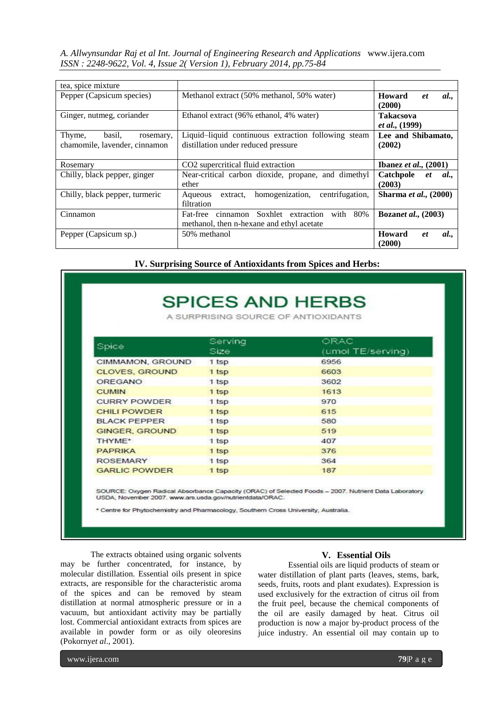| tea, spice mixture             |                                                                           |                                     |  |
|--------------------------------|---------------------------------------------------------------------------|-------------------------------------|--|
| Pepper (Capsicum species)      | Methanol extract (50% methanol, 50% water)                                | Howard<br>al<br><i>et</i><br>(2000) |  |
| Ginger, nutmeg, coriander      | Ethanol extract (96% ethanol, 4% water)<br><b>Takacsova</b>               |                                     |  |
|                                |                                                                           | <i>et al.</i> , (1999)              |  |
| Thyme,<br>basil,<br>rosemary,  | Liquid-liquid continuous extraction following steam<br>Lee and Shibamato, |                                     |  |
| chamomile, lavender, cinnamon  | (2002)<br>distillation under reduced pressure                             |                                     |  |
|                                |                                                                           |                                     |  |
| Rosemary                       | CO2 supercritical fluid extraction                                        | Ibanez et al., $(2001)$             |  |
| Chilly, black pepper, ginger   | Near-critical carbon dioxide, propane, and dimethyl                       | Catchpole<br>al.,<br><i>et</i>      |  |
|                                | ether                                                                     | (2003)                              |  |
| Chilly, black pepper, turmeric | centrifugation,<br>homogenization,<br>extract,<br>Aqueous                 | <b>Sharma et al., (2000)</b>        |  |
|                                | filtration                                                                |                                     |  |
| Cinnamon                       | 80%<br>Fat-free<br>cinnamon Soxhlet extraction<br>with                    | <b>Bozanet al.</b> , (2003)         |  |
|                                | methanol, then n-hexane and ethyl acetate                                 |                                     |  |
| Pepper (Capsicum sp.)          | 50% methanol                                                              | <b>Howard</b><br>al<br>et           |  |
|                                |                                                                           | (2000)                              |  |

**IV. Surprising Source of Antioxidants from Spices and Herbs:**

|  | <b>SPICES AND HERBS</b> |
|--|-------------------------|
|--|-------------------------|

A SURPRISING SOURCE OF ANTIOXIDANTS

| Spice                 | Serving<br>Size | ORAC<br>(umol TE/serving) |
|-----------------------|-----------------|---------------------------|
| CIMMAMON, GROUND      | 1 tsp           | 6956                      |
| <b>CLOVES, GROUND</b> | 1 tsp           | 6603                      |
| <b>OREGANO</b>        | 1 tsp           | 3602                      |
| <b>CUMIN</b>          | 1 tsp           | 1613                      |
| <b>CURRY POWDER</b>   | 1 tsp           | 970                       |
| <b>CHILI POWDER</b>   | 1 tsp           | 615                       |
| <b>BLACK PEPPER</b>   | 1 tsp           | 580                       |
| <b>GINGER, GROUND</b> | 1 tsp           | 519                       |
| THYME*                | 1 tsp           | 407                       |
| <b>PAPRIKA</b>        | 1 tsp           | 376                       |
| <b>ROSEMARY</b>       | 1 tsp           | 364                       |
| <b>GARLIC POWDER</b>  | 1 tsp           | 187                       |
|                       |                 |                           |

SOURCE: Oxygen Radical Absorbance Capacity (ORAC) of Selected Foods - 2007. Nutrient Data Laboratory USDA, November 2007. www.ars.usda.gov/nutrientdata/ORAC.

\* Centre for Phytochemistry and Pharmacology, Southern Cross University, Australia.

The extracts obtained using organic solvents may be further concentrated, for instance, by molecular distillation. Essential oils present in spice extracts, are responsible for the characteristic aroma of the spices and can be removed by steam distillation at normal atmospheric pressure or in a vacuum, but antioxidant activity may be partially lost. Commercial antioxidant extracts from spices are available in powder form or as oily oleoresins (Pokorny*et al*., 2001).

#### **V. Essential Oils**

Essential oils are liquid products of steam or water distillation of plant parts (leaves, stems, bark, seeds, fruits, roots and plant exudates). Expression is used exclusively for the extraction of citrus oil from the fruit peel, because the chemical components of the oil are easily damaged by heat. Citrus oil production is now a major by-product process of the juice industry. An essential oil may contain up to

www.ijera.com **79**|P a g e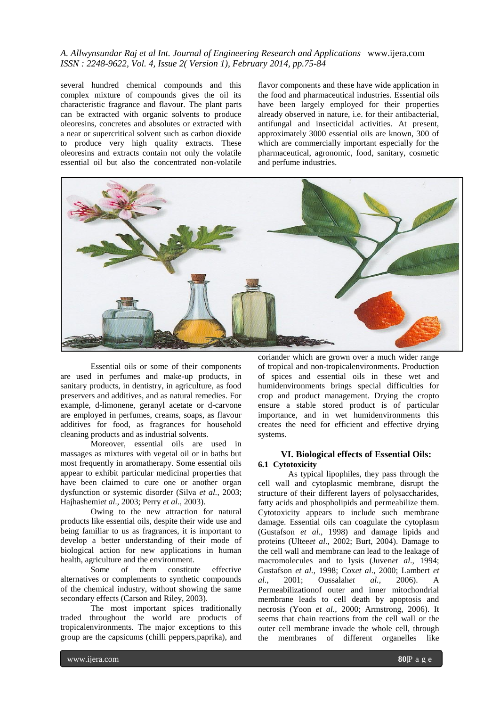several hundred chemical compounds and this complex mixture of compounds gives the oil its characteristic fragrance and flavour. The plant parts can be extracted with organic solvents to produce oleoresins, concretes and absolutes or extracted with a near or supercritical solvent such as carbon dioxide to produce very high quality extracts. These oleoresins and extracts contain not only the volatile essential oil but also the concentrated non-volatile flavor components and these have wide application in the food and pharmaceutical industries. Essential oils have been largely employed for their properties already observed in nature, i.e. for their antibacterial, antifungal and insecticidal activities. At present, approximately 3000 essential oils are known, 300 of which are commercially important especially for the pharmaceutical, agronomic, food, sanitary, cosmetic and perfume industries.



Essential oils or some of their components are used in perfumes and make-up products, in sanitary products, in dentistry, in agriculture, as food preservers and additives, and as natural remedies. For example, d-limonene, geranyl acetate or d-carvone are employed in perfumes, creams, soaps, as flavour additives for food, as fragrances for household cleaning products and as industrial solvents.

Moreover, essential oils are used in massages as mixtures with vegetal oil or in baths but most frequently in aromatherapy. Some essential oils appear to exhibit particular medicinal properties that have been claimed to cure one or another organ dysfunction or systemic disorder (Silva *et al.,* 2003; Hajhashemi*et al*., 2003; Perry *et al*., 2003).

Owing to the new attraction for natural products like essential oils, despite their wide use and being familiar to us as fragrances, it is important to develop a better understanding of their mode of biological action for new applications in human health, agriculture and the environment.

Some of them constitute effective alternatives or complements to synthetic compounds of the chemical industry, without showing the same secondary effects (Carson and Riley, 2003).

The most important spices traditionally traded throughout the world are products of tropicalenvironments. The major exceptions to this group are the capsicums (chilli peppers,paprika), and

coriander which are grown over a much wider range of tropical and non-tropicalenvironments. Production of spices and essential oils in these wet and humidenvironments brings special difficulties for crop and product management. Drying the cropto ensure a stable stored product is of particular importance, and in wet humidenvironments this creates the need for efficient and effective drying systems.

## **VI. Biological effects of Essential Oils: 6.1 Cytotoxicity**

As typical lipophiles, they pass through the cell wall and cytoplasmic membrane, disrupt the structure of their different layers of polysaccharides, fatty acids and phospholipids and permeabilize them. Cytotoxicity appears to include such membrane damage. Essential oils can coagulate the cytoplasm (Gustafson *et al*., 1998) and damage lipids and proteins (Ultee*et al.,* 2002; Burt, 2004). Damage to the cell wall and membrane can lead to the leakage of macromolecules and to lysis (Juven*et al*., 1994; Gustafson *et al.,* 1998; Cox*et al*., 2000; Lambert *et al*., 2001; Oussalah*et al.,* 2006). A Permeabilizationof outer and inner mitochondrial membrane leads to cell death by apoptosis and necrosis (Yoon *et al.,* 2000; Armstrong, 2006). It seems that chain reactions from the cell wall or the outer cell membrane invade the whole cell, through the membranes of different organelles like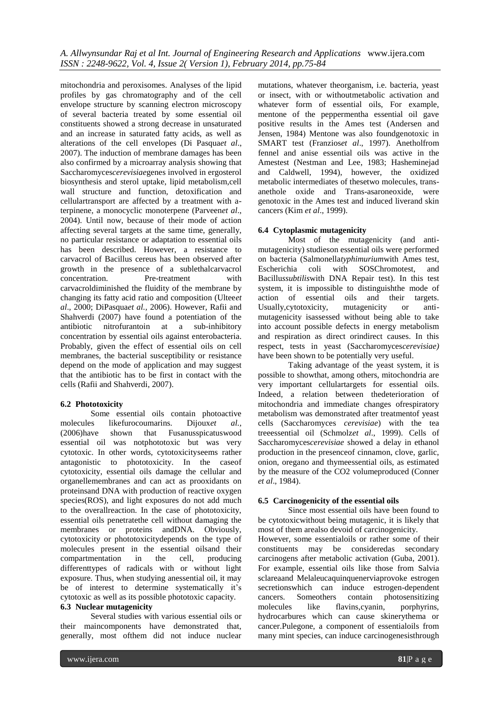mitochondria and peroxisomes. Analyses of the lipid profiles by gas chromatography and of the cell envelope structure by scanning electron microscopy of several bacteria treated by some essential oil constituents showed a strong decrease in unsaturated and an increase in saturated fatty acids, as well as alterations of the cell envelopes (Di Pasqua*et al*., 2007). The induction of membrane damages has been also confirmed by a microarray analysis showing that Saccharomyces*cerevisiae*genes involved in ergosterol biosynthesis and sterol uptake, lipid metabolism,cell wall structure and function, detoxification and cellulartransport are affected by a treatment with aterpinene, a monocyclic monoterpene (Parveen*et al*., 2004). Until now, because of their mode of action affecting several targets at the same time, generally, no particular resistance or adaptation to essential oils has been described. However, a resistance to carvacrol of Bacillus cereus has been observed after growth in the presence of a sublethalcarvacrol concentration. Pre-treatment with carvacroldiminished the fluidity of the membrane by changing its fatty acid ratio and composition (Ultee*et al*., 2000; DiPasqua*et al.,* 2006). However, Rafii and Shahverdi (2007) have found a potentiation of the antibiotic nitrofurantoin at a sub-inhibitory concentration by essential oils against enterobacteria. Probably, given the effect of essential oils on cell membranes, the bacterial susceptibility or resistance depend on the mode of application and may suggest that the antibiotic has to be first in contact with the cells (Rafii and Shahverdi, 2007).

# **6.2 Phototoxicity**

Some essential oils contain photoactive molecules likefurocoumarins. Dijoux*et al.,* (2006)have shown that Fusanusspicatuswood essential oil was notphototoxic but was very cytotoxic. In other words, cytotoxicityseems rather antagonistic to phototoxicity. In the caseof cytotoxicity, essential oils damage the cellular and organellemembranes and can act as prooxidants on proteinsand DNA with production of reactive oxygen species(ROS), and light exposures do not add much to the overallreaction. In the case of phototoxicity, essential oils penetratethe cell without damaging the membranes or proteins andDNA. Obviously, cytotoxicity or phototoxicitydepends on the type of molecules present in the essential oilsand their compartmentation in the cell, producing differenttypes of radicals with or without light exposure. Thus, when studying anessential oil, it may be of interest to determine systematically it's cytotoxic as well as its possible phototoxic capacity.

# **6.3 Nuclear mutagenicity**

Several studies with various essential oils or their maincomponents have demonstrated that, generally, most ofthem did not induce nuclear

mutations, whatever theorganism, i.e. bacteria, yeast or insect, with or withoutmetabolic activation and whatever form of essential oils, For example, mentone of the peppermentha essential oil gave positive results in the Ames test (Andersen and Jensen, 1984) Mentone was also foundgenotoxic in SMART test (Franzios*et al*., 1997). Anetholfrom fennel and anise essential oils was active in the Amestest (Nestman and Lee, 1983; Hasheminejad and Caldwell, 1994), however, the oxidized metabolic intermediates of thesetwo molecules, transanethole oxide and Trans-asaroneoxide, were genotoxic in the Ames test and induced liverand skin cancers (Kim *et al*., 1999).

# **6.4 Cytoplasmic mutagenicity**

Most of the mutagenicity (and antimutagenicity) studieson essential oils were performed on bacteria (Salmonella*typhimurium*with Ames test, Escherichia coli with SOSChromotest, and Bacillu*ssubtilis*with DNA Repair test). In this test system, it is impossible to distinguishthe mode of action of essential oils and their targets. action of essential oils and their Usually,cytotoxicity, mutagenicity or antimutagenicity isassessed without being able to take into account possible defects in energy metabolism and respiration as direct orindirect causes. In this respect, tests in yeast (Saccharomyces*cerevisiae)* have been shown to be potentially very useful.

Taking advantage of the yeast system, it is possible to showthat, among others, mitochondria are very important cellulartargets for essential oils. Indeed, a relation between thedeterioration of mitochondria and immediate changes ofrespiratory metabolism was demonstrated after treatmentof yeast cells (Saccharomyces *cerevisiae*) with the tea treeessential oil (Schmolz*et al*., 1999). Cells of Saccharomyces*cerevisiae* showed a delay in ethanol production in the presenceof cinnamon, clove, garlic, onion, oregano and thymeessential oils, as estimated by the measure of the CO2 volumeproduced (Conner *et al*., 1984).

# **6.5 Carcinogenicity of the essential oils**

Since most essential oils have been found to be cytotoxicwithout being mutagenic, it is likely that most of them arealso devoid of carcinogenicity. However, some essentialoils or rather some of their constituents may be consideredas secondary carcinogens after metabolic activation (Guba, 2001). For example, essential oils like those from Salvia sclareaand Melaleucaquinquenerviaprovoke estrogen secretionswhich can induce estrogen-dependent cancers. Someothers contain photosensitizing molecules like flavins,cyanin, porphyrins, hydrocarbures which can cause skinerythema or cancer.Pulegone, a component of essentialoils from many mint species, can induce carcinogenesisthrough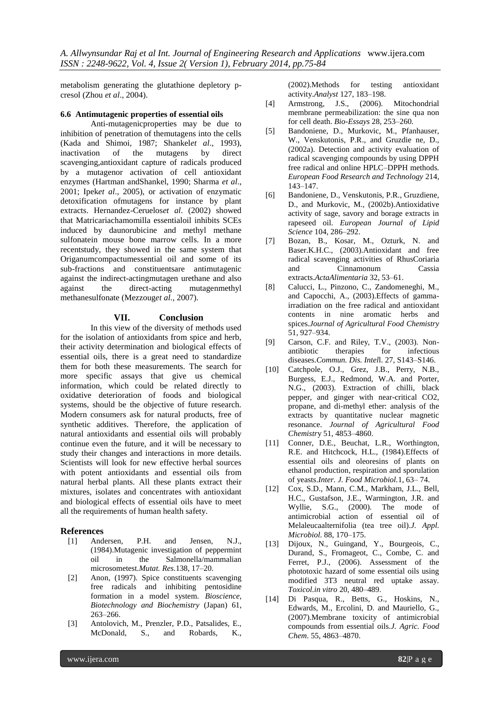metabolism generating the glutathione depletory pcresol (Zhou *et al*., 2004).

#### **6.6 Antimutagenic properties of essential oils**

Anti-mutagenicproperties may be due to inhibition of penetration of themutagens into the cells (Kada and Shimoi, 1987; Shankel*et al*., 1993), inactivation of the mutagens by direct scavenging,antioxidant capture of radicals produced by a mutagenor activation of cell antioxidant enzymes (Hartman andShankel, 1990; Sharma *et al*., 2001; Ipek*et al*., 2005), or activation of enzymatic detoxification ofmutagens for instance by plant extracts. Hernandez-Ceruelos*et al*. (2002) showed that Matricariachamomilla essentialoil inhibits SCEs induced by daunorubicine and methyl methane sulfonatein mouse bone marrow cells. In a more recentstudy, they showed in the same system that Origanumcompactumessential oil and some of its sub-fractions and constituentsare antimutagenic against the indirect-actingmutagen urethane and also against the direct-acting mutagenmethyl methanesulfonate (Mezzoug*et al.,* 2007).

#### **VII. Conclusion**

In this view of the diversity of methods used for the isolation of antioxidants from spice and herb, their activity determination and biological effects of essential oils, there is a great need to standardize them for both these measurements. The search for more specific assays that give us chemical information, which could be related directly to oxidative deterioration of foods and biological systems, should be the objective of future research. Modern consumers ask for natural products, free of synthetic additives. Therefore, the application of natural antioxidants and essential oils will probably continue even the future, and it will be necessary to study their changes and interactions in more details. Scientists will look for new effective herbal sources with potent antioxidants and essential oils from natural herbal plants. All these plants extract their mixtures, isolates and concentrates with antioxidant and biological effects of essential oils have to meet all the requirements of human health safety.

#### **References**

- [1] Andersen, P.H. and Jensen, N.J., (1984).Mutagenic investigation of peppermint oil in the Salmonella/mammalian microsometest.*Mutat. Res*.138, 17–20.
- [2] Anon, (1997). Spice constituents scavenging free radicals and inhibiting pentosidine formation in a model system. *Bioscience, Biotechnology and Biochemistry* (Japan) 61, 263–266.
- [3] Antolovich, M., Prenzler, P.D., Patsalides, E., McDonald, S., and Robards, K.,

(2002).Methods for testing antioxidant activity.*Analyst* 127, 183–198.

- [4] Armstrong, J.S., (2006). Mitochondrial membrane permeabilization: the sine qua non for cell death. *Bio-Essays* 28, 253–260.
- [5] Bandoniene, D., Murkovic, M., Pfanhauser, W., Venskutonis, P.R., and Gruzdie ne, D., (2002a). Detection and activity evaluation of radical scavenging compounds by using DPPH free radical and online HPLC–DPPH methods*. European Food Research and Technology* 214, 143–147.
- [6] Bandoniene, D., Venskutonis, P.R., Gruzdiene, D., and Murkovic, M., (2002b).Antioxidative activity of sage, savory and borage extracts in rapeseed oil*. European Journal of Lipid Science* 104, 286–292.
- [7] Bozan, B., Kosar, M., Ozturk, N. and Baser.K.H.C., (2003).Antioxidant and free radical scavenging activities of RhusCoriaria and Cinnamonum Cassia extracts.*ActaAlimentaria* 32, 53–61.
- [8] Calucci, L., Pinzono, C., Zandomeneghi, M., and Capocchi, A., (2003).Effects of gammairradiation on the free radical and antioxidant contents in nine aromatic herbs and spices.*Journal of Agricultural Food Chemistry* 51, 927–934.
- [9] Carson, C.F. and Riley, T.V., (2003). Nonantibiotic therapies for infectious diseases.*Commun. Dis. Intel*l. 27, S143–S146.
- [10] Catchpole, O.J., Grez, J.B., Perry, N.B., Burgess, E.J., Redmond, W.A. and Porter, N.G., (2003). Extraction of chilli, black pepper, and ginger with near-critical CO2, propane, and di-methyl ether: analysis of the extracts by quantitative nuclear magnetic resonance. *Journal of Agricultural Food Chemistr*y 51, 4853–4860.
- [11] Conner, D.E., Beuchat, L.R., Worthington, R.E. and Hitchcock, H.L., (1984).Effects of essential oils and oleoresins of plants on ethanol production, respiration and sporulation of yeasts.*Inter. J. Food Microbiol.*1, 63– 74.
- [12] Cox, S.D., Mann, C.M., Markham, J.L., Bell, H.C., Gustafson, J.E., Warmington, J.R. and Wyllie, S.G., (2000). The mode of antimicrobial action of essential oil of Melaleucaalternifolia (tea tree oil).*J. Appl. Microbiol*. 88, 170–175.
- [13] Dijoux, N., Guingand, Y., Bourgeois, C., Durand, S., Fromageot, C., Combe, C. and Ferret, P.J., (2006). Assessment of the phototoxic hazard of some essential oils using modified 3T3 neutral red uptake assay. *Toxicol.in vitro* 20, 480–489.
- [14] Di Pasqua, R., Betts, G., Hoskins, N., Edwards, M., Ercolini, D. and Mauriello, G., (2007).Membrane toxicity of antimicrobial compounds from essential oils.*J. Agric. Food Chem*. 55, 4863–4870.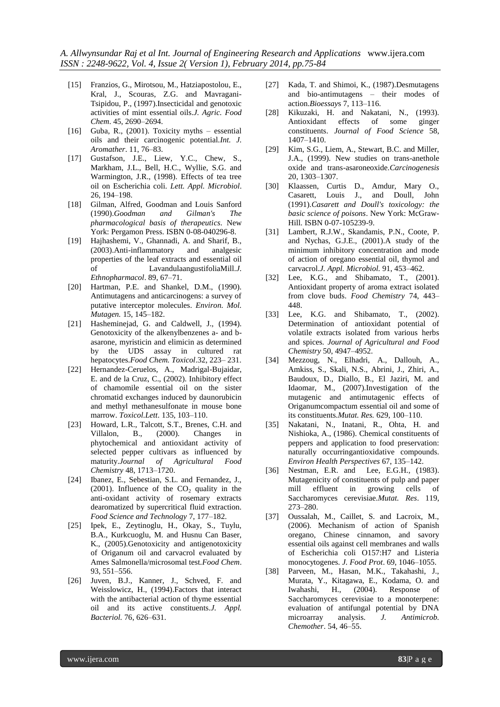- [15] Franzios, G., Mirotsou, M., Hatziapostolou, E., Kral, J., Scouras, Z.G. and Mavragani-Tsipidou, P., (1997).Insecticidal and genotoxic activities of mint essential oils.*J. Agric. Food Chem*. 45, 2690–2694.
- [16] Guba, R., (2001). Toxicity myths essential oils and their carcinogenic potential.*Int. J. Aromather*. 11, 76–83.
- [17] Gustafson, J.E., Liew, Y.C., Chew, S., Markham, J.L., Bell, H.C., Wyllie, S.G. and Warmington, J.R., (1998). Effects of tea tree oil on Escherichia coli. *Lett. Appl. Microbiol*. 26, 194–198.
- [18] Gilman, Alfred, Goodman and Louis Sanford (1990).*Goodman and Gilman's The pharmacological basis of therapeutics*. New York: Pergamon Press. [ISBN](http://en.wikipedia.org/wiki/International_Standard_Book_Number) [0-08-040296-8.](http://en.wikipedia.org/wiki/Special:BookSources/0-08-040296-8)
- [19] Hajhashemi, V., Ghannadi, A. and Sharif, B., (2003).Anti-inflammatory and analgesic properties of the leaf extracts and essential oil of LavandulaangustifoliaMill.*J. Ethnopharmacol*. 89, 67–71.
- [20] Hartman, P.E. and Shankel, D.M., (1990). Antimutagens and anticarcinogens: a survey of putative interceptor molecules. *Environ. Mol. Mutagen.* 15, 145–182.
- [21] Hasheminejad, G. and Caldwell, J., (1994). Genotoxicity of the alkenylbenzenes a- and basarone, myristicin and elimicin as determined by the UDS assay in cultured rat hepatocytes.*Food Chem. Toxicol*.32, 223– 231.
- [22] Hernandez-Ceruelos, A., Madrigal-Bujaidar, E. and de la Cruz, C., (2002). Inhibitory effect of chamomile essential oil on the sister chromatid exchanges induced by daunorubicin and methyl methanesulfonate in mouse bone marrow. *Toxicol.Lett*. 135, 103–110.
- [23] Howard, L.R., Talcott, S.T., Brenes, C.H. and Villalon, B., (2000). Changes in phytochemical and antioxidant activity of selected pepper cultivars as influenced by maturity.*Journal of Agricultural Food Chemistry* 48, 1713–1720.
- [24] Ibanez, E., Sebestian, S.L. and Fernandez, J., (2001). Influence of the  $CO<sub>2</sub>$  quality in the anti-oxidant activity of rosemary extracts dearomatized by supercritical fluid extraction. *Food Science and Technology* 7, 177–182.
- [25] Ipek, E., Zeytinoglu, H., Okay, S., Tuylu, B.A., Kurkcuoglu, M. and Husnu Can Baser, K., (2005).Genotoxicity and antigenotoxicity of Origanum oil and carvacrol evaluated by Ames Salmonella/microsomal test.*Food Chem*. 93, 551–556.
- [26] Juven, B.J., Kanner, J., Schved, F. and Weisslowicz, H., (1994).Factors that interact with the antibacterial action of thyme essential oil and its active constituents.*J. Appl. Bacteriol.* 76, 626–631.
- [27] Kada, T. and Shimoi, K., (1987). Desmutagens and bio-antimutagens – their modes of action.*Bioessay*s 7, 113–116.
- [28] Kikuzaki, H. and Nakatani, N., (1993). Antioxidant effects of some ginger constituents. *Journal of Food Science* 58, 1407–1410.
- [29] Kim, S.G., Liem, A., Stewart, B.C. and Miller, J.A., (1999). New studies on trans-anethole oxide and trans-asaroneoxide.*Carcinogenesis* 20, 1303–1307.
- [30] Klaassen, Curtis D., Amdur, Mary O., Casarett, Louis J., and Doull, John (1991).*Casarett and Doull's toxicology: the basic science of poisons*. New York: McGraw-Hill. [ISBN](http://en.wikipedia.org/wiki/International_Standard_Book_Number) [0-07-105239-9.](http://en.wikipedia.org/wiki/Special:BookSources/0-07-105239-9)
- [31] Lambert, R.J.W., Skandamis, P.N., Coote, P. and Nychas, G.J.E., (2001).A study of the minimum inhibitory concentration and mode of action of oregano essential oil, thymol and carvacrol.*J. Appl. Microbiol.* 91, 453–462.
- [32] Lee, K.G., and Shibamato, T., (2001). Antioxidant property of aroma extract isolated from clove buds. *Food Chemistry* 74, 443– 448.
- [33] Lee, K.G. and Shibamato, T., (2002). Determination of antioxidant potential of volatile extracts isolated from various herbs and spices*. Journal of Agricultural and Food Chemistry* 50, 4947–4952.
- [34] Mezzoug, N., Elhadri, A., Dallouh, A., Amkiss, S., Skali, N.S., Abrini, J., Zhiri, A., Baudoux, D., Diallo, B., El Jaziri, M. and Idaomar, M., (2007).Investigation of the mutagenic and antimutagenic effects of Origanumcompactum essential oil and some of its constituents.*Mutat. Res.* 629, 100–110.
- [35] Nakatani, N., Inatani, R., Ohta, H. and Nishioka, A., (1986). Chemical constituents of peppers and application to food preservation: naturally occurringantioxidative compounds. *Environ Health Perspectives* 67, 135–142.
- [36] Nestman, E.R. and Lee, E.G.H., (1983). Mutagenicity of constituents of pulp and paper mill effluent in growing cells of Saccharomyces cerevisiae.*Mutat. Res*. 119, 273–280.
- [37] Oussalah, M., Caillet, S. and Lacroix, M., (2006). Mechanism of action of Spanish oregano, Chinese cinnamon, and savory essential oils against cell membranes and walls of Escherichia coli O157:H7 and Listeria monocytogenes. *J. Food Prot*. 69, 1046–1055.
- [38] Parveen, M., Hasan, M.K., Takahashi, J., Murata, Y., Kitagawa, E., Kodama, O. and Iwahashi, H., (2004). Response of Saccharomyces cerevisiae to a monoterpene: evaluation of antifungal potential by DNA microarray analysis. *J. Antimicrob. Chemother*. 54, 46–55.